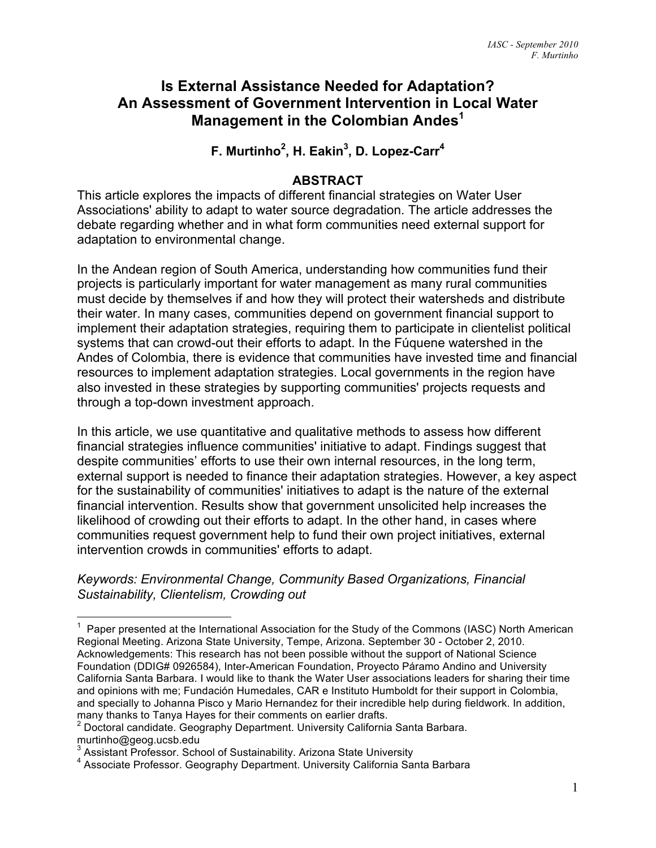### **Is External Assistance Needed for Adaptation? An Assessment of Government Intervention in Local Water Management in the Colombian Andes<sup>1</sup>**

**F. Murtinho<sup>2</sup> , H. Eakin<sup>3</sup> , D. Lopez-Carr<sup>4</sup>**

#### **ABSTRACT**

This article explores the impacts of different financial strategies on Water User Associations' ability to adapt to water source degradation. The article addresses the debate regarding whether and in what form communities need external support for adaptation to environmental change.

In the Andean region of South America, understanding how communities fund their projects is particularly important for water management as many rural communities must decide by themselves if and how they will protect their watersheds and distribute their water. In many cases, communities depend on government financial support to implement their adaptation strategies, requiring them to participate in clientelist political systems that can crowd-out their efforts to adapt. In the Fúquene watershed in the Andes of Colombia, there is evidence that communities have invested time and financial resources to implement adaptation strategies. Local governments in the region have also invested in these strategies by supporting communities' projects requests and through a top-down investment approach.

In this article, we use quantitative and qualitative methods to assess how different financial strategies influence communities' initiative to adapt. Findings suggest that despite communities' efforts to use their own internal resources, in the long term, external support is needed to finance their adaptation strategies. However, a key aspect for the sustainability of communities' initiatives to adapt is the nature of the external financial intervention. Results show that government unsolicited help increases the likelihood of crowding out their efforts to adapt. In the other hand, in cases where communities request government help to fund their own project initiatives, external intervention crowds in communities' efforts to adapt.

*Keywords: Environmental Change, Community Based Organizations, Financial Sustainability, Clientelism, Crowding out*

1 Paper presented at the International Association for the Study of the Commons (IASC) North American Regional Meeting. Arizona State University, Tempe, Arizona. September 30 - October 2, 2010. Acknowledgements: This research has not been possible without the support of National Science Foundation (DDIG# 0926584), Inter-American Foundation, Proyecto Páramo Andino and University California Santa Barbara. I would like to thank the Water User associations leaders for sharing their time and opinions with me; Fundación Humedales, CAR e Instituto Humboldt for their support in Colombia, and specially to Johanna Pisco y Mario Hernandez for their incredible help during fieldwork. In addition, many thanks to Tanya Hayes for their comments on earlier drafts. <sup>2</sup>

<sup>&</sup>lt;sup>2</sup> Doctoral candidate. Geography Department. University California Santa Barbara. murtinho@geog.ucsb.edu

<sup>&</sup>lt;sup>3</sup> Assistant Professor. School of Sustainability. Arizona State University

<sup>&</sup>lt;sup>4</sup> Associate Professor. Geography Department. University California Santa Barbara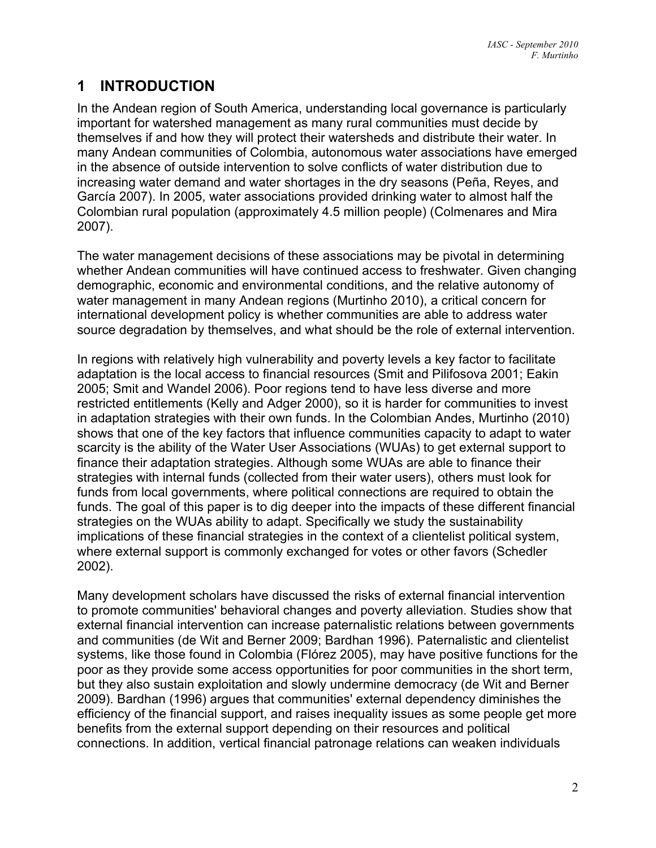# **1 INTRODUCTION**

In the Andean region of South America, understanding local governance is particularly important for watershed management as many rural communities must decide by themselves if and how they will protect their watersheds and distribute their water. In many Andean communities of Colombia, autonomous water associations have emerged in the absence of outside intervention to solve conflicts of water distribution due to increasing water demand and water shortages in the dry seasons (Peña, Reyes, and García 2007). In 2005, water associations provided drinking water to almost half the Colombian rural population (approximately 4.5 million people) (Colmenares and Mira 2007).

The water management decisions of these associations may be pivotal in determining whether Andean communities will have continued access to freshwater. Given changing demographic, economic and environmental conditions, and the relative autonomy of water management in many Andean regions (Murtinho 2010), a critical concern for international development policy is whether communities are able to address water source degradation by themselves, and what should be the role of external intervention.

In regions with relatively high vulnerability and poverty levels a key factor to facilitate adaptation is the local access to financial resources (Smit and Pilifosova 2001; Eakin 2005; Smit and Wandel 2006). Poor regions tend to have less diverse and more restricted entitlements (Kelly and Adger 2000), so it is harder for communities to invest in adaptation strategies with their own funds. In the Colombian Andes, Murtinho (2010) shows that one of the key factors that influence communities capacity to adapt to water scarcity is the ability of the Water User Associations (WUAs) to get external support to finance their adaptation strategies. Although some WUAs are able to finance their strategies with internal funds (collected from their water users), others must look for funds from local governments, where political connections are required to obtain the funds. The goal of this paper is to dig deeper into the impacts of these different financial strategies on the WUAs ability to adapt. Specifically we study the sustainability implications of these financial strategies in the context of a clientelist political system, where external support is commonly exchanged for votes or other favors (Schedler 2002).

Many development scholars have discussed the risks of external financial intervention to promote communities' behavioral changes and poverty alleviation. Studies show that external financial intervention can increase paternalistic relations between governments and communities (de Wit and Berner 2009; Bardhan 1996). Paternalistic and clientelist systems, like those found in Colombia (Flórez 2005), may have positive functions for the poor as they provide some access opportunities for poor communities in the short term, but they also sustain exploitation and slowly undermine democracy (de Wit and Berner 2009). Bardhan (1996) argues that communities' external dependency diminishes the efficiency of the financial support, and raises inequality issues as some people get more benefits from the external support depending on their resources and political connections. In addition, vertical financial patronage relations can weaken individuals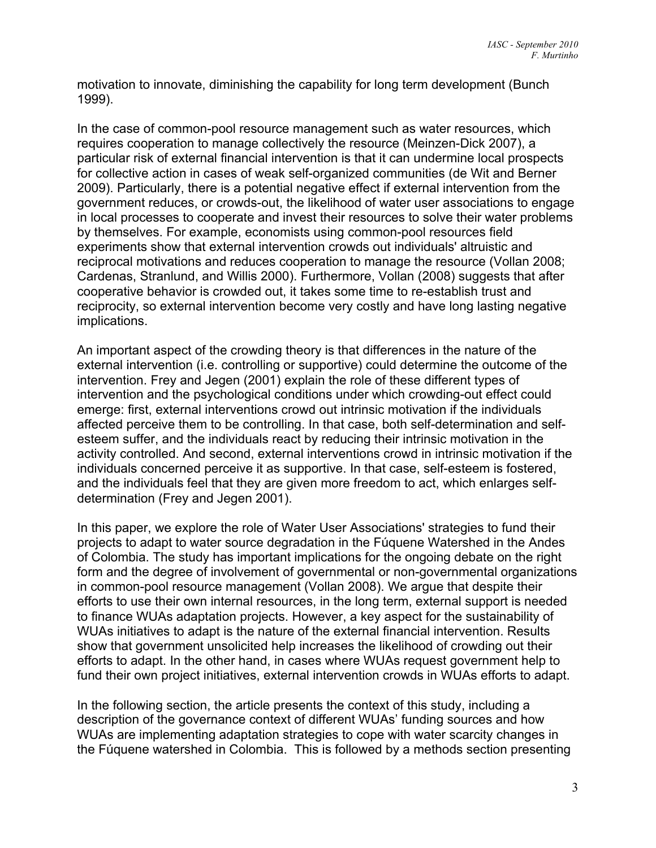motivation to innovate, diminishing the capability for long term development (Bunch 1999).

In the case of common-pool resource management such as water resources, which requires cooperation to manage collectively the resource (Meinzen-Dick 2007), a particular risk of external financial intervention is that it can undermine local prospects for collective action in cases of weak self-organized communities (de Wit and Berner 2009). Particularly, there is a potential negative effect if external intervention from the government reduces, or crowds-out, the likelihood of water user associations to engage in local processes to cooperate and invest their resources to solve their water problems by themselves. For example, economists using common-pool resources field experiments show that external intervention crowds out individuals' altruistic and reciprocal motivations and reduces cooperation to manage the resource (Vollan 2008; Cardenas, Stranlund, and Willis 2000). Furthermore, Vollan (2008) suggests that after cooperative behavior is crowded out, it takes some time to re-establish trust and reciprocity, so external intervention become very costly and have long lasting negative implications.

An important aspect of the crowding theory is that differences in the nature of the external intervention (i.e. controlling or supportive) could determine the outcome of the intervention. Frey and Jegen (2001) explain the role of these different types of intervention and the psychological conditions under which crowding-out effect could emerge: first, external interventions crowd out intrinsic motivation if the individuals affected perceive them to be controlling. In that case, both self-determination and selfesteem suffer, and the individuals react by reducing their intrinsic motivation in the activity controlled. And second, external interventions crowd in intrinsic motivation if the individuals concerned perceive it as supportive. In that case, self-esteem is fostered, and the individuals feel that they are given more freedom to act, which enlarges selfdetermination (Frey and Jegen 2001).

In this paper, we explore the role of Water User Associations' strategies to fund their projects to adapt to water source degradation in the Fúquene Watershed in the Andes of Colombia. The study has important implications for the ongoing debate on the right form and the degree of involvement of governmental or non-governmental organizations in common-pool resource management (Vollan 2008). We argue that despite their efforts to use their own internal resources, in the long term, external support is needed to finance WUAs adaptation projects. However, a key aspect for the sustainability of WUAs initiatives to adapt is the nature of the external financial intervention. Results show that government unsolicited help increases the likelihood of crowding out their efforts to adapt. In the other hand, in cases where WUAs request government help to fund their own project initiatives, external intervention crowds in WUAs efforts to adapt.

In the following section, the article presents the context of this study, including a description of the governance context of different WUAs' funding sources and how WUAs are implementing adaptation strategies to cope with water scarcity changes in the Fúquene watershed in Colombia. This is followed by a methods section presenting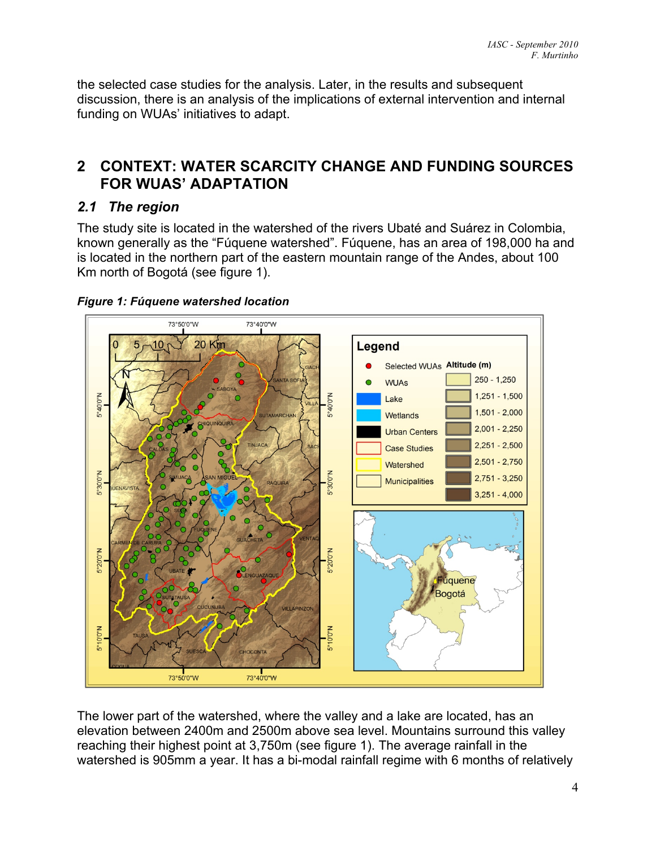the selected case studies for the analysis. Later, in the results and subsequent discussion, there is an analysis of the implications of external intervention and internal funding on WUAs' initiatives to adapt.

## **2 CONTEXT: WATER SCARCITY CHANGE AND FUNDING SOURCES FOR WUAS' ADAPTATION**

## *2.1 The region*

The study site is located in the watershed of the rivers Ubaté and Suárez in Colombia, known generally as the "Fúquene watershed". Fúquene, has an area of 198,000 ha and is located in the northern part of the eastern mountain range of the Andes, about 100 Km north of Bogotá (see figure 1).



#### *Figure 1: Fúquene watershed location*

The lower part of the watershed, where the valley and a lake are located, has an elevation between 2400m and 2500m above sea level. Mountains surround this valley reaching their highest point at 3,750m (see figure 1). The average rainfall in the watershed is 905mm a year. It has a bi-modal rainfall regime with 6 months of relatively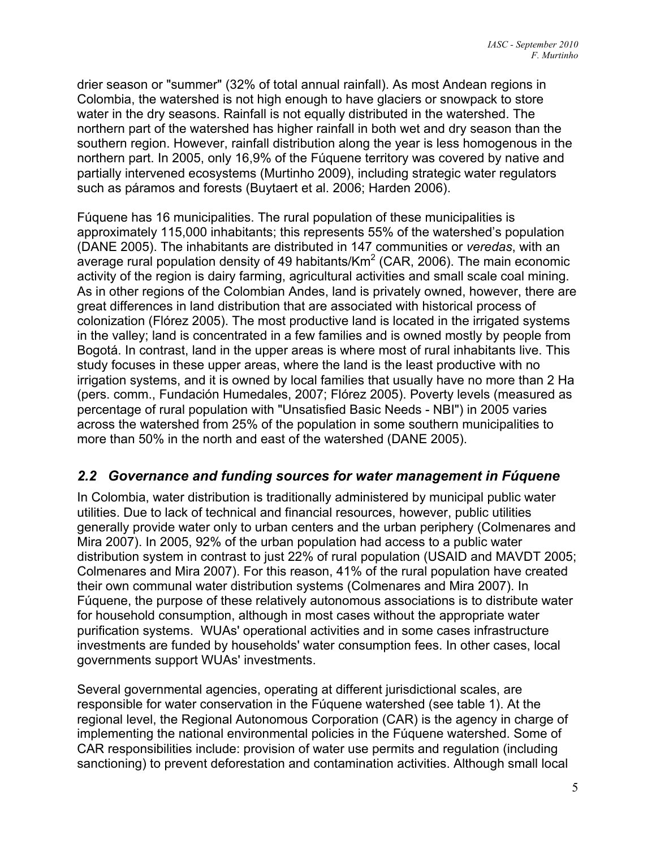drier season or "summer" (32% of total annual rainfall). As most Andean regions in Colombia, the watershed is not high enough to have glaciers or snowpack to store water in the dry seasons. Rainfall is not equally distributed in the watershed. The northern part of the watershed has higher rainfall in both wet and dry season than the southern region. However, rainfall distribution along the year is less homogenous in the northern part. In 2005, only 16,9% of the Fúquene territory was covered by native and partially intervened ecosystems (Murtinho 2009), including strategic water regulators such as páramos and forests (Buytaert et al. 2006; Harden 2006).

Fúquene has 16 municipalities. The rural population of these municipalities is approximately 115,000 inhabitants; this represents 55% of the watershed's population (DANE 2005). The inhabitants are distributed in 147 communities or *veredas*, with an average rural population density of 49 habitants/Km<sup>2</sup> (CAR, 2006). The main economic activity of the region is dairy farming, agricultural activities and small scale coal mining. As in other regions of the Colombian Andes, land is privately owned, however, there are great differences in land distribution that are associated with historical process of colonization (Flórez 2005). The most productive land is located in the irrigated systems in the valley; land is concentrated in a few families and is owned mostly by people from Bogotá. In contrast, land in the upper areas is where most of rural inhabitants live. This study focuses in these upper areas, where the land is the least productive with no irrigation systems, and it is owned by local families that usually have no more than 2 Ha (pers. comm., Fundación Humedales, 2007; Flórez 2005). Poverty levels (measured as percentage of rural population with "Unsatisfied Basic Needs - NBI") in 2005 varies across the watershed from 25% of the population in some southern municipalities to more than 50% in the north and east of the watershed (DANE 2005).

### *2.2 Governance and funding sources for water management in Fúquene*

In Colombia, water distribution is traditionally administered by municipal public water utilities. Due to lack of technical and financial resources, however, public utilities generally provide water only to urban centers and the urban periphery (Colmenares and Mira 2007). In 2005, 92% of the urban population had access to a public water distribution system in contrast to just 22% of rural population (USAID and MAVDT 2005; Colmenares and Mira 2007). For this reason, 41% of the rural population have created their own communal water distribution systems (Colmenares and Mira 2007). In Fúquene, the purpose of these relatively autonomous associations is to distribute water for household consumption, although in most cases without the appropriate water purification systems. WUAs' operational activities and in some cases infrastructure investments are funded by households' water consumption fees. In other cases, local governments support WUAs' investments.

Several governmental agencies, operating at different jurisdictional scales, are responsible for water conservation in the Fúquene watershed (see table 1). At the regional level, the Regional Autonomous Corporation (CAR) is the agency in charge of implementing the national environmental policies in the Fúquene watershed. Some of CAR responsibilities include: provision of water use permits and regulation (including sanctioning) to prevent deforestation and contamination activities. Although small local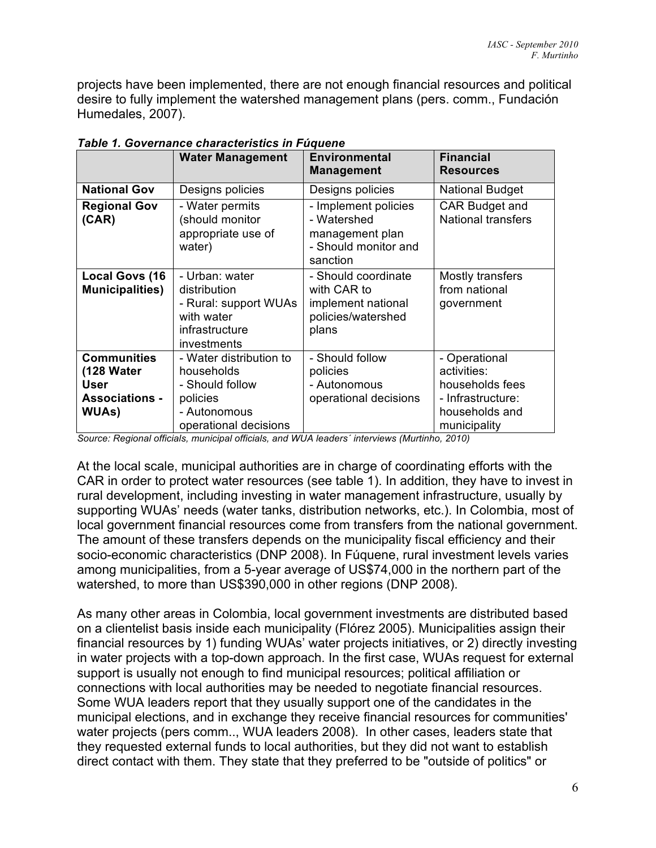projects have been implemented, there are not enough financial resources and political desire to fully implement the watershed management plans (pers. comm., Fundación Humedales, 2007).

|                                                                                    | <b>Water Management</b>                                                                                       | <b>Environmental</b><br><b>Management</b>                                                  | <b>Financial</b><br><b>Resources</b>                                                                   |  |  |  |  |
|------------------------------------------------------------------------------------|---------------------------------------------------------------------------------------------------------------|--------------------------------------------------------------------------------------------|--------------------------------------------------------------------------------------------------------|--|--|--|--|
| <b>National Gov</b>                                                                | Designs policies                                                                                              | Designs policies                                                                           | <b>National Budget</b>                                                                                 |  |  |  |  |
| <b>Regional Gov</b><br>(CAR)                                                       | - Water permits<br>(should monitor<br>appropriate use of<br>water)                                            | - Implement policies<br>- Watershed<br>management plan<br>- Should monitor and<br>sanction | CAR Budget and<br><b>National transfers</b>                                                            |  |  |  |  |
| <b>Local Govs (16)</b><br><b>Municipalities)</b>                                   | - Urban: water<br>distribution<br>- Rural: support WUAs<br>with water<br>infrastructure<br>investments        | - Should coordinate<br>with CAR to<br>implement national<br>policies/watershed<br>plans    | Mostly transfers<br>from national<br>government                                                        |  |  |  |  |
| <b>Communities</b><br>(128 Water<br>User<br><b>Associations -</b><br><b>WUAs</b> ) | - Water distribution to<br>households<br>- Should follow<br>policies<br>- Autonomous<br>operational decisions | - Should follow<br>policies<br>- Autonomous<br>operational decisions                       | - Operational<br>activities:<br>households fees<br>- Infrastructure:<br>households and<br>municipality |  |  |  |  |

*Table 1. Governance characteristics in Fúquene*

*Source: Regional officials, municipal officials, and WUA leaders´ interviews (Murtinho, 2010)*

At the local scale, municipal authorities are in charge of coordinating efforts with the CAR in order to protect water resources (see table 1). In addition, they have to invest in rural development, including investing in water management infrastructure, usually by supporting WUAs' needs (water tanks, distribution networks, etc.). In Colombia, most of local government financial resources come from transfers from the national government. The amount of these transfers depends on the municipality fiscal efficiency and their socio-economic characteristics (DNP 2008). In Fúquene, rural investment levels varies among municipalities, from a 5-year average of US\$74,000 in the northern part of the watershed, to more than US\$390,000 in other regions (DNP 2008).

As many other areas in Colombia, local government investments are distributed based on a clientelist basis inside each municipality (Flórez 2005). Municipalities assign their financial resources by 1) funding WUAs' water projects initiatives, or 2) directly investing in water projects with a top-down approach. In the first case, WUAs request for external support is usually not enough to find municipal resources; political affiliation or connections with local authorities may be needed to negotiate financial resources. Some WUA leaders report that they usually support one of the candidates in the municipal elections, and in exchange they receive financial resources for communities' water projects (pers comm.., WUA leaders 2008). In other cases, leaders state that they requested external funds to local authorities, but they did not want to establish direct contact with them. They state that they preferred to be "outside of politics" or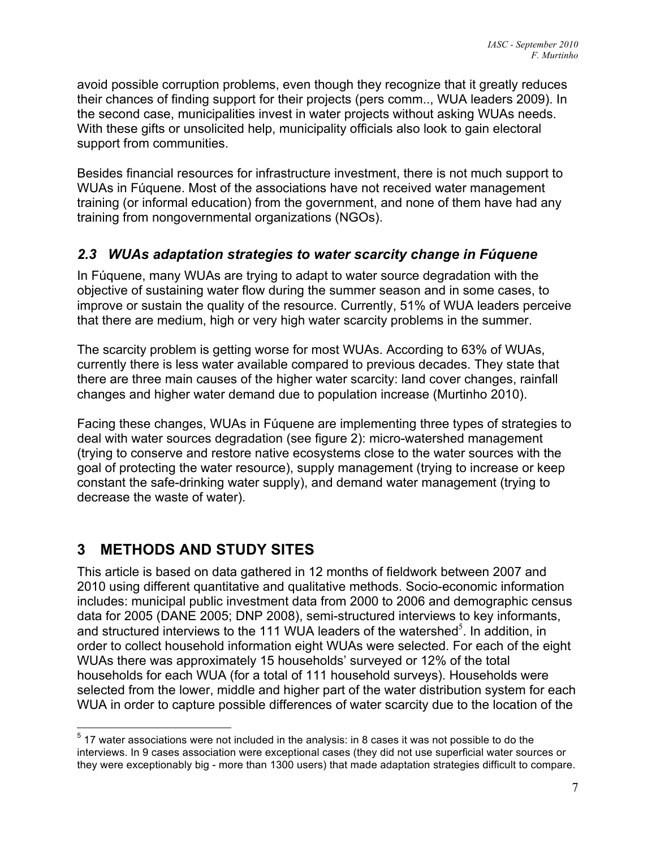avoid possible corruption problems, even though they recognize that it greatly reduces their chances of finding support for their projects (pers comm.., WUA leaders 2009). In the second case, municipalities invest in water projects without asking WUAs needs. With these gifts or unsolicited help, municipality officials also look to gain electoral support from communities.

Besides financial resources for infrastructure investment, there is not much support to WUAs in Fúquene. Most of the associations have not received water management training (or informal education) from the government, and none of them have had any training from nongovernmental organizations (NGOs).

### *2.3 WUAs adaptation strategies to water scarcity change in Fúquene*

In Fúquene, many WUAs are trying to adapt to water source degradation with the objective of sustaining water flow during the summer season and in some cases, to improve or sustain the quality of the resource. Currently, 51% of WUA leaders perceive that there are medium, high or very high water scarcity problems in the summer.

The scarcity problem is getting worse for most WUAs. According to 63% of WUAs, currently there is less water available compared to previous decades. They state that there are three main causes of the higher water scarcity: land cover changes, rainfall changes and higher water demand due to population increase (Murtinho 2010).

Facing these changes, WUAs in Fúquene are implementing three types of strategies to deal with water sources degradation (see figure 2): micro-watershed management (trying to conserve and restore native ecosystems close to the water sources with the goal of protecting the water resource), supply management (trying to increase or keep constant the safe-drinking water supply), and demand water management (trying to decrease the waste of water).

# **3 METHODS AND STUDY SITES**

This article is based on data gathered in 12 months of fieldwork between 2007 and 2010 using different quantitative and qualitative methods. Socio-economic information includes: municipal public investment data from 2000 to 2006 and demographic census data for 2005 (DANE 2005; DNP 2008), semi-structured interviews to key informants, and structured interviews to the 111 WUA leaders of the watershed<sup>5</sup>. In addition, in order to collect household information eight WUAs were selected. For each of the eight WUAs there was approximately 15 households' surveyed or 12% of the total households for each WUA (for a total of 111 household surveys). Households were selected from the lower, middle and higher part of the water distribution system for each WUA in order to capture possible differences of water scarcity due to the location of the

<sup>————————————————————&</sup>lt;br><sup>5</sup> 17 water associations were not included in the analysis: in 8 cases it was not possible to do the interviews. In 9 cases association were exceptional cases (they did not use superficial water sources or they were exceptionably big - more than 1300 users) that made adaptation strategies difficult to compare.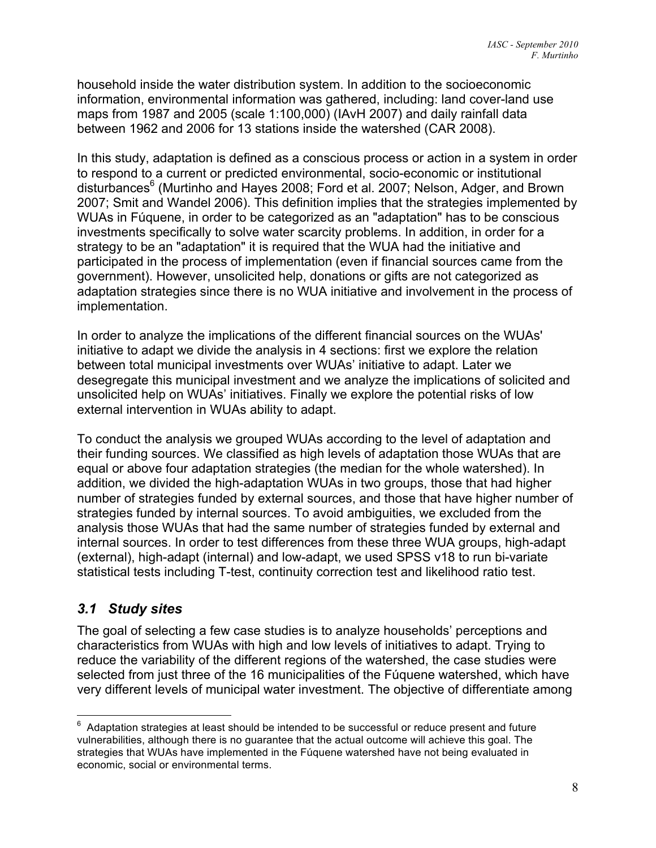household inside the water distribution system. In addition to the socioeconomic information, environmental information was gathered, including: land cover-land use maps from 1987 and 2005 (scale 1:100,000) (IAvH 2007) and daily rainfall data between 1962 and 2006 for 13 stations inside the watershed (CAR 2008).

In this study, adaptation is defined as a conscious process or action in a system in order to respond to a current or predicted environmental, socio-economic or institutional disturbances<sup>6</sup> (Murtinho and Hayes 2008; Ford et al. 2007; Nelson, Adger, and Brown 2007; Smit and Wandel 2006). This definition implies that the strategies implemented by WUAs in Fúquene, in order to be categorized as an "adaptation" has to be conscious investments specifically to solve water scarcity problems. In addition, in order for a strategy to be an "adaptation" it is required that the WUA had the initiative and participated in the process of implementation (even if financial sources came from the government). However, unsolicited help, donations or gifts are not categorized as adaptation strategies since there is no WUA initiative and involvement in the process of implementation.

In order to analyze the implications of the different financial sources on the WUAs' initiative to adapt we divide the analysis in 4 sections: first we explore the relation between total municipal investments over WUAs' initiative to adapt. Later we desegregate this municipal investment and we analyze the implications of solicited and unsolicited help on WUAs' initiatives. Finally we explore the potential risks of low external intervention in WUAs ability to adapt.

To conduct the analysis we grouped WUAs according to the level of adaptation and their funding sources. We classified as high levels of adaptation those WUAs that are equal or above four adaptation strategies (the median for the whole watershed). In addition, we divided the high-adaptation WUAs in two groups, those that had higher number of strategies funded by external sources, and those that have higher number of strategies funded by internal sources. To avoid ambiguities, we excluded from the analysis those WUAs that had the same number of strategies funded by external and internal sources. In order to test differences from these three WUA groups, high-adapt (external), high-adapt (internal) and low-adapt, we used SPSS v18 to run bi-variate statistical tests including T-test, continuity correction test and likelihood ratio test.

### *3.1 Study sites*

The goal of selecting a few case studies is to analyze households' perceptions and characteristics from WUAs with high and low levels of initiatives to adapt. Trying to reduce the variability of the different regions of the watershed, the case studies were selected from just three of the 16 municipalities of the Fúquene watershed, which have very different levels of municipal water investment. The objective of differentiate among

6 Adaptation strategies at least should be intended to be successful or reduce present and future vulnerabilities, although there is no guarantee that the actual outcome will achieve this goal. The strategies that WUAs have implemented in the Fúquene watershed have not being evaluated in economic, social or environmental terms.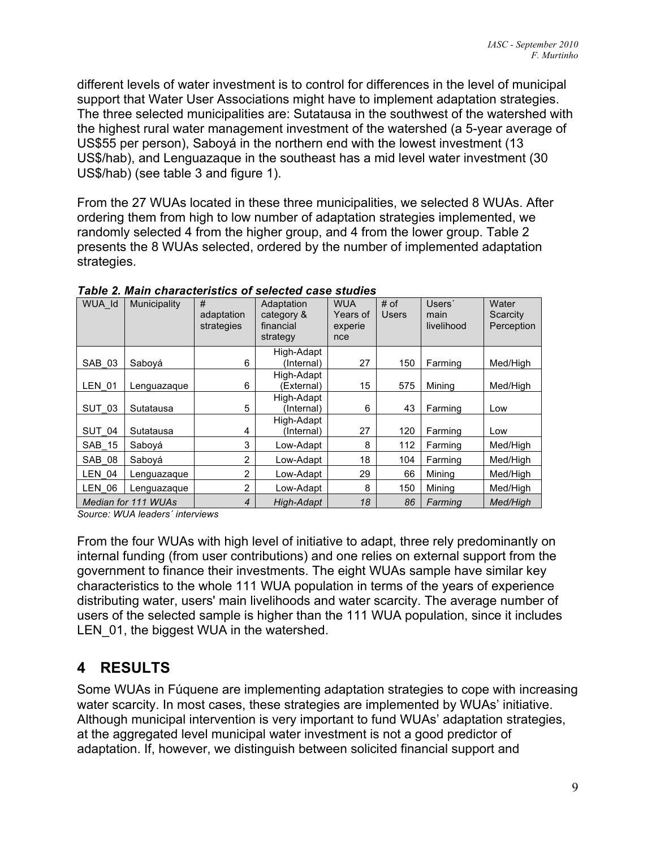different levels of water investment is to control for differences in the level of municipal support that Water User Associations might have to implement adaptation strategies. The three selected municipalities are: Sutatausa in the southwest of the watershed with the highest rural water management investment of the watershed (a 5-year average of US\$55 per person), Saboyá in the northern end with the lowest investment (13 US\$/hab), and Lenguazaque in the southeast has a mid level water investment (30 US\$/hab) (see table 3 and figure 1).

From the 27 WUAs located in these three municipalities, we selected 8 WUAs. After ordering them from high to low number of adaptation strategies implemented, we randomly selected 4 from the higher group, and 4 from the lower group. Table 2 presents the 8 WUAs selected, ordered by the number of implemented adaptation strategies.

| WUA Id        | Municipality        | #<br>adaptation<br>strategies | Adaptation<br>category &<br>financial<br>strategy | <b>WUA</b><br>Years of<br>experie<br>nce | # of<br><b>Users</b> | Users'<br>main<br>livelihood | Water<br>Scarcity<br>Perception |
|---------------|---------------------|-------------------------------|---------------------------------------------------|------------------------------------------|----------------------|------------------------------|---------------------------------|
| SAB 03        | Sabová              | 6                             | High-Adapt<br>(Internal)                          | 27                                       | 150                  | Farming                      | Med/High                        |
| <b>LEN 01</b> | Lenguazague         | 6                             | High-Adapt<br>(External)                          | 15                                       | 575                  | Minina                       | Med/High                        |
| SUT 03        | Sutatausa           | 5                             | High-Adapt<br>(Internal)                          | 6                                        | 43                   | Farming                      | Low                             |
| SUT 04        | Sutatausa           | 4                             | High-Adapt<br>(Internal)                          | 27                                       | 120                  | Farming                      | Low                             |
| SAB 15        | Saboyá              | 3                             | Low-Adapt                                         | 8                                        | 112                  | Farming                      | Med/High                        |
| SAB 08        | Sabová              | 2                             | Low-Adapt                                         | 18                                       | 104                  | Farming                      | Med/High                        |
| <b>LEN 04</b> | Lenguazaque         | $\overline{2}$                | Low-Adapt                                         | 29                                       | 66                   | Mining                       | Med/High                        |
| LEN 06        | Lenguazaque         | $\overline{2}$                | Low-Adapt                                         | 8                                        | 150                  | Minina                       | Med/High                        |
|               | Median for 111 WUAs | 4                             | High-Adapt                                        | 18                                       | 86                   | Farming                      | <b>Med/High</b>                 |

*Table 2. Main characteristics of selected case studies*

*Source: WUA leaders´ interviews*

From the four WUAs with high level of initiative to adapt, three rely predominantly on internal funding (from user contributions) and one relies on external support from the government to finance their investments. The eight WUAs sample have similar key characteristics to the whole 111 WUA population in terms of the years of experience distributing water, users' main livelihoods and water scarcity. The average number of users of the selected sample is higher than the 111 WUA population, since it includes LEN 01, the biggest WUA in the watershed.

## **4 RESULTS**

Some WUAs in Fúquene are implementing adaptation strategies to cope with increasing water scarcity. In most cases, these strategies are implemented by WUAs' initiative. Although municipal intervention is very important to fund WUAs' adaptation strategies, at the aggregated level municipal water investment is not a good predictor of adaptation. If, however, we distinguish between solicited financial support and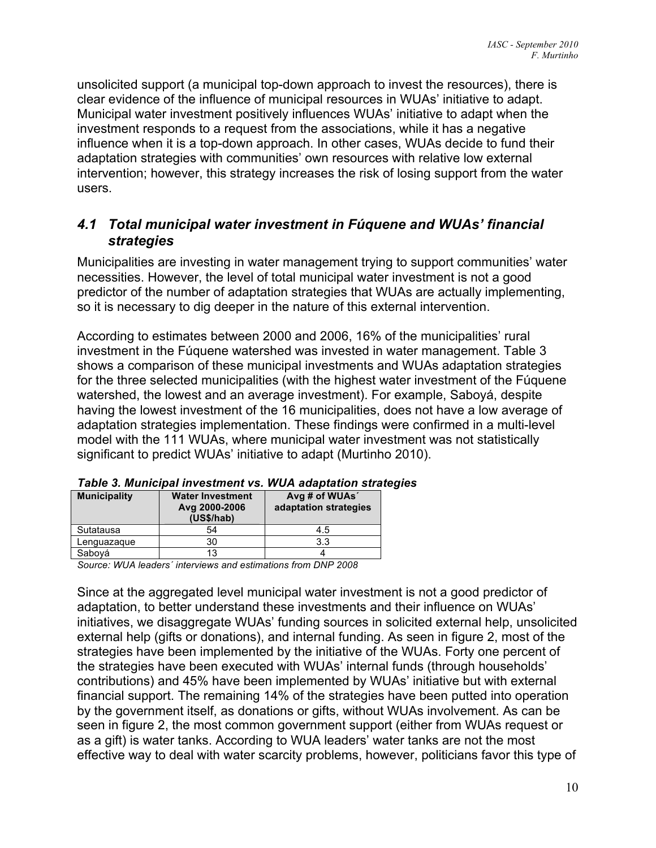unsolicited support (a municipal top-down approach to invest the resources), there is clear evidence of the influence of municipal resources in WUAs' initiative to adapt. Municipal water investment positively influences WUAs' initiative to adapt when the investment responds to a request from the associations, while it has a negative influence when it is a top-down approach. In other cases, WUAs decide to fund their adaptation strategies with communities' own resources with relative low external intervention; however, this strategy increases the risk of losing support from the water users.

#### *4.1 Total municipal water investment in Fúquene and WUAs' financial strategies*

Municipalities are investing in water management trying to support communities' water necessities. However, the level of total municipal water investment is not a good predictor of the number of adaptation strategies that WUAs are actually implementing, so it is necessary to dig deeper in the nature of this external intervention.

According to estimates between 2000 and 2006, 16% of the municipalities' rural investment in the Fúquene watershed was invested in water management. Table 3 shows a comparison of these municipal investments and WUAs adaptation strategies for the three selected municipalities (with the highest water investment of the Fúquene watershed, the lowest and an average investment). For example, Saboyá, despite having the lowest investment of the 16 municipalities, does not have a low average of adaptation strategies implementation. These findings were confirmed in a multi-level model with the 111 WUAs, where municipal water investment was not statistically significant to predict WUAs' initiative to adapt (Murtinho 2010).

| <b>Municipality</b> | <b>Water Investment</b><br>Avg 2000-2006<br>(US\$/hab) | Avg # of WUAs'<br>adaptation strategies |
|---------------------|--------------------------------------------------------|-----------------------------------------|
| Sutatausa           | 54                                                     | 4.5                                     |
| Lenguazaque         | 30                                                     | 3.3                                     |
| Saboyá              | 13                                                     |                                         |

*Table 3. Municipal investment vs. WUA adaptation strategies*

*Source: WUA leaders´ interviews and estimations from DNP 2008*

Since at the aggregated level municipal water investment is not a good predictor of adaptation, to better understand these investments and their influence on WUAs' initiatives, we disaggregate WUAs' funding sources in solicited external help, unsolicited external help (gifts or donations), and internal funding. As seen in figure 2, most of the strategies have been implemented by the initiative of the WUAs. Forty one percent of the strategies have been executed with WUAs' internal funds (through households' contributions) and 45% have been implemented by WUAs' initiative but with external financial support. The remaining 14% of the strategies have been putted into operation by the government itself, as donations or gifts, without WUAs involvement. As can be seen in figure 2, the most common government support (either from WUAs request or as a gift) is water tanks. According to WUA leaders' water tanks are not the most effective way to deal with water scarcity problems, however, politicians favor this type of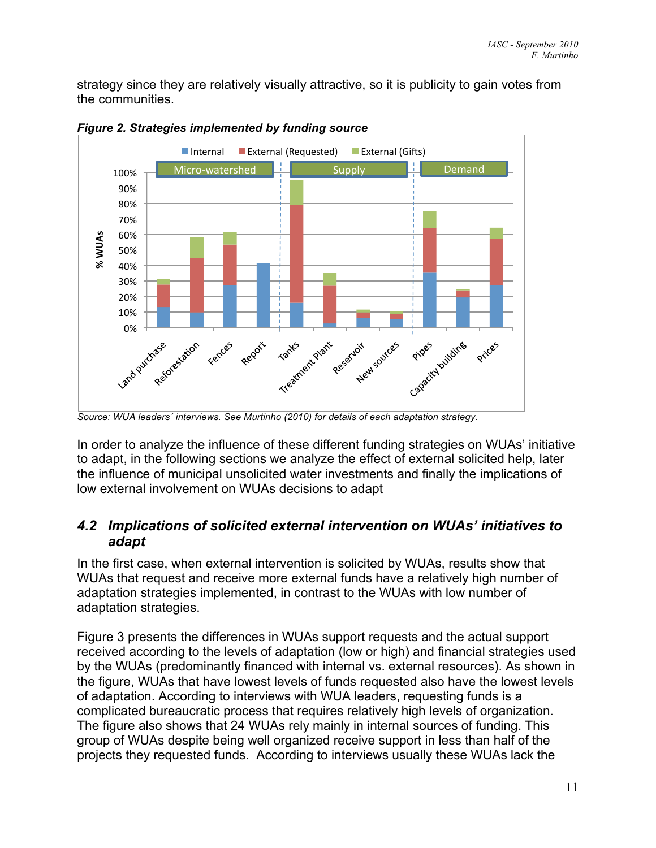strategy since they are relatively visually attractive, so it is publicity to gain votes from the communities.



*Figure 2. Strategies implemented by funding source*

*Source: WUA leaders´ interviews. See Murtinho (2010) for details of each adaptation strategy.*

In order to analyze the influence of these different funding strategies on WUAs' initiative to adapt, in the following sections we analyze the effect of external solicited help, later the influence of municipal unsolicited water investments and finally the implications of low external involvement on WUAs decisions to adapt

### *4.2 Implications of solicited external intervention on WUAs' initiatives to adapt*

In the first case, when external intervention is solicited by WUAs, results show that WUAs that request and receive more external funds have a relatively high number of adaptation strategies implemented, in contrast to the WUAs with low number of adaptation strategies.

Figure 3 presents the differences in WUAs support requests and the actual support received according to the levels of adaptation (low or high) and financial strategies used by the WUAs (predominantly financed with internal vs. external resources). As shown in the figure, WUAs that have lowest levels of funds requested also have the lowest levels of adaptation. According to interviews with WUA leaders, requesting funds is a complicated bureaucratic process that requires relatively high levels of organization. The figure also shows that 24 WUAs rely mainly in internal sources of funding. This group of WUAs despite being well organized receive support in less than half of the projects they requested funds. According to interviews usually these WUAs lack the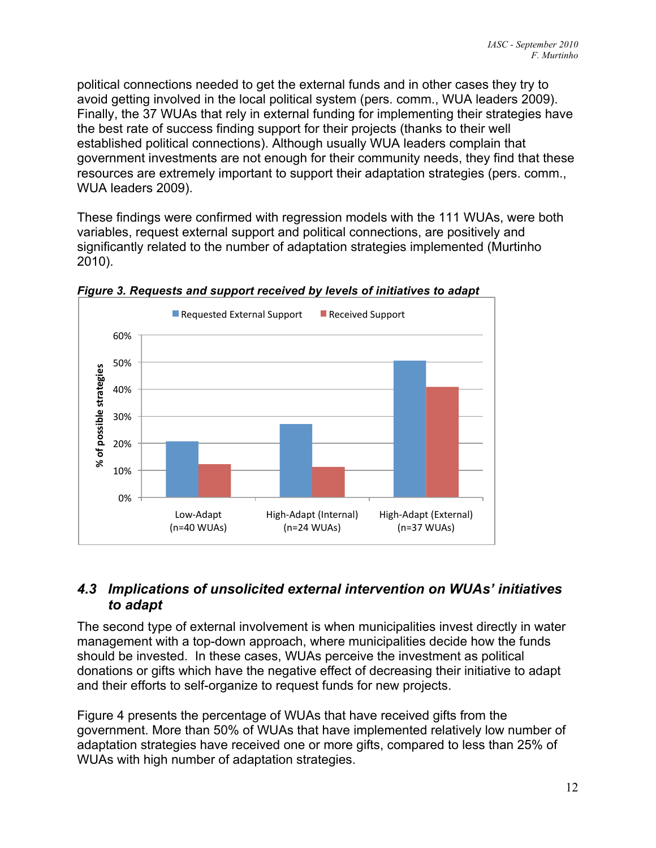political connections needed to get the external funds and in other cases they try to avoid getting involved in the local political system (pers. comm., WUA leaders 2009). Finally, the 37 WUAs that rely in external funding for implementing their strategies have the best rate of success finding support for their projects (thanks to their well established political connections). Although usually WUA leaders complain that government investments are not enough for their community needs, they find that these resources are extremely important to support their adaptation strategies (pers. comm., WUA leaders 2009).

These findings were confirmed with regression models with the 111 WUAs, were both variables, request external support and political connections, are positively and significantly related to the number of adaptation strategies implemented (Murtinho 2010).



*Figure 3. Requests and support received by levels of initiatives to adapt*

#### *4.3 Implications of unsolicited external intervention on WUAs' initiatives to adapt*

The second type of external involvement is when municipalities invest directly in water management with a top-down approach, where municipalities decide how the funds should be invested. In these cases, WUAs perceive the investment as political donations or gifts which have the negative effect of decreasing their initiative to adapt and their efforts to self-organize to request funds for new projects.

Figure 4 presents the percentage of WUAs that have received gifts from the government. More than 50% of WUAs that have implemented relatively low number of adaptation strategies have received one or more gifts, compared to less than 25% of WUAs with high number of adaptation strategies.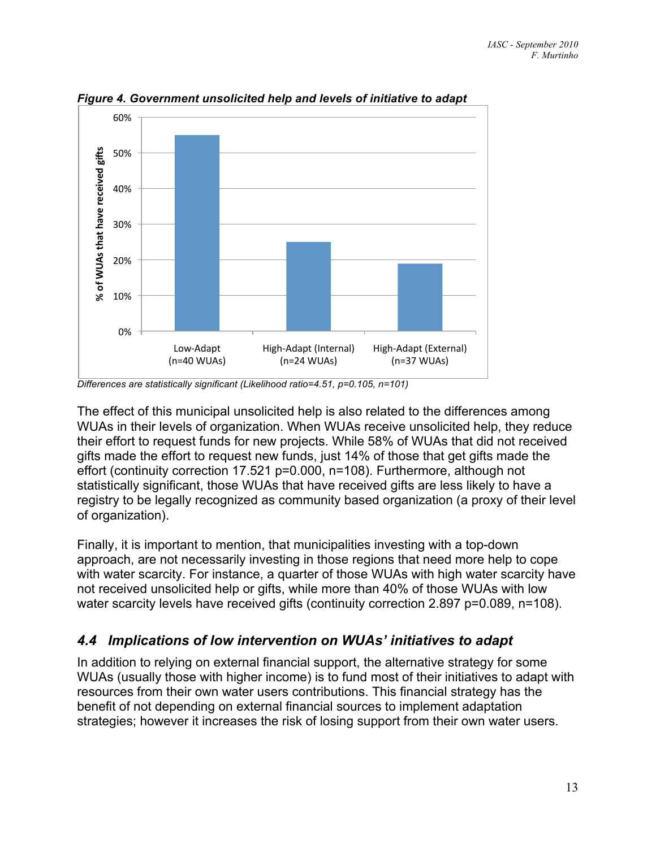

*Figure 4. Government unsolicited help and levels of initiative to adapt*

*Differences are statistically significant (Likelihood ratio=4.51, p=0.105, n=101)*

The effect of this municipal unsolicited help is also related to the differences among WUAs in their levels of organization. When WUAs receive unsolicited help, they reduce their effort to request funds for new projects. While 58% of WUAs that did not received gifts made the effort to request new funds, just 14% of those that get gifts made the effort (continuity correction 17.521 p=0.000, n=108). Furthermore, although not statistically significant, those WUAs that have received gifts are less likely to have a registry to be legally recognized as community based organization (a proxy of their level of organization).

Finally, it is important to mention, that municipalities investing with a top-down approach, are not necessarily investing in those regions that need more help to cope with water scarcity. For instance, a quarter of those WUAs with high water scarcity have not received unsolicited help or gifts, while more than 40% of those WUAs with low water scarcity levels have received gifts (continuity correction 2.897 p=0.089, n=108).

### *4.4 Implications of low intervention on WUAs' initiatives to adapt*

In addition to relying on external financial support, the alternative strategy for some WUAs (usually those with higher income) is to fund most of their initiatives to adapt with resources from their own water users contributions. This financial strategy has the benefit of not depending on external financial sources to implement adaptation strategies; however it increases the risk of losing support from their own water users.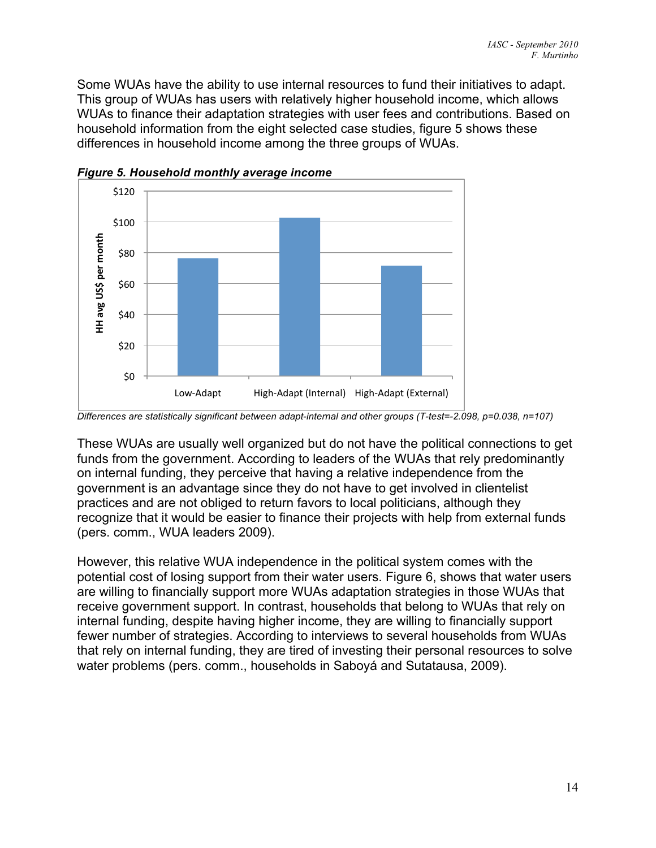Some WUAs have the ability to use internal resources to fund their initiatives to adapt. This group of WUAs has users with relatively higher household income, which allows WUAs to finance their adaptation strategies with user fees and contributions. Based on household information from the eight selected case studies, figure 5 shows these differences in household income among the three groups of WUAs.



*Figure 5. Household monthly average income*

These WUAs are usually well organized but do not have the political connections to get funds from the government. According to leaders of the WUAs that rely predominantly on internal funding, they perceive that having a relative independence from the government is an advantage since they do not have to get involved in clientelist practices and are not obliged to return favors to local politicians, although they recognize that it would be easier to finance their projects with help from external funds (pers. comm., WUA leaders 2009).

However, this relative WUA independence in the political system comes with the potential cost of losing support from their water users. Figure 6, shows that water users are willing to financially support more WUAs adaptation strategies in those WUAs that receive government support. In contrast, households that belong to WUAs that rely on internal funding, despite having higher income, they are willing to financially support fewer number of strategies. According to interviews to several households from WUAs that rely on internal funding, they are tired of investing their personal resources to solve water problems (pers. comm., households in Saboyá and Sutatausa, 2009).

*Differences are statistically significant between adapt-internal and other groups (T-test=-2.098, p=0.038, n=107)*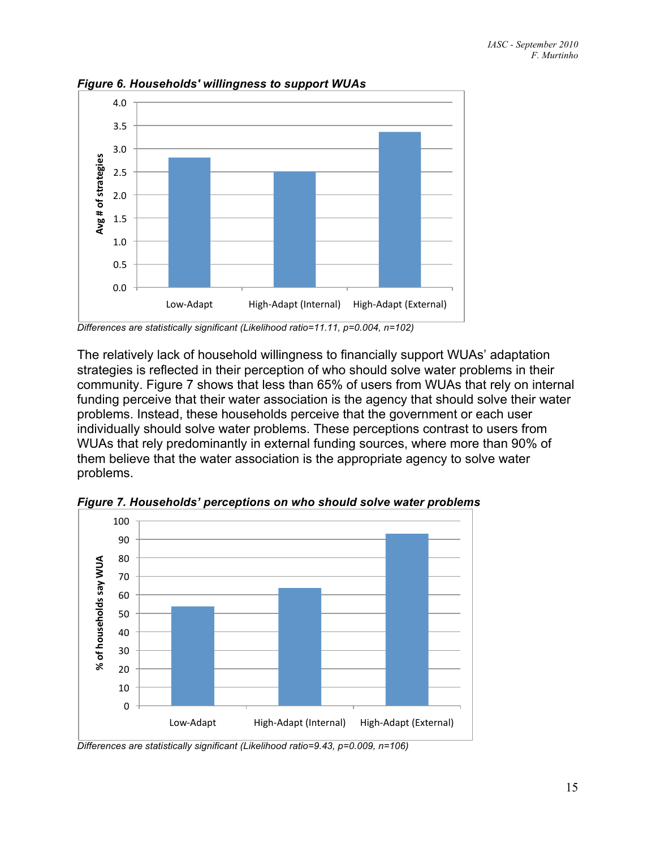

*Figure 6. Households' willingness to support WUAs*

*Differences are statistically significant (Likelihood ratio=11.11, p=0.004, n=102)*

The relatively lack of household willingness to financially support WUAs' adaptation strategies is reflected in their perception of who should solve water problems in their community. Figure 7 shows that less than 65% of users from WUAs that rely on internal funding perceive that their water association is the agency that should solve their water problems. Instead, these households perceive that the government or each user individually should solve water problems. These perceptions contrast to users from WUAs that rely predominantly in external funding sources, where more than 90% of them believe that the water association is the appropriate agency to solve water problems.



*Figure 7. Households' perceptions on who should solve water problems*

*Differences are statistically significant (Likelihood ratio=9.43, p=0.009, n=106)*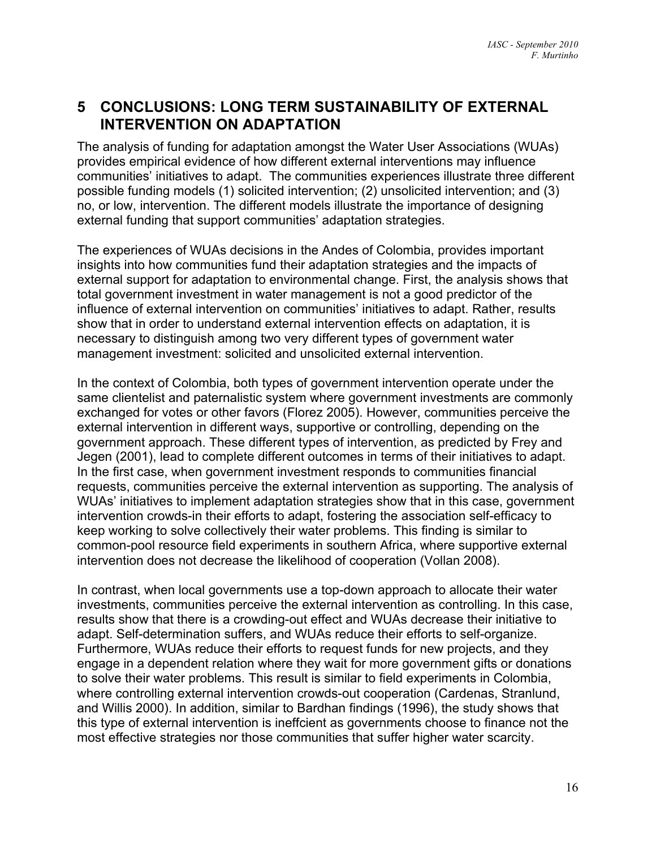## **5 CONCLUSIONS: LONG TERM SUSTAINABILITY OF EXTERNAL INTERVENTION ON ADAPTATION**

The analysis of funding for adaptation amongst the Water User Associations (WUAs) provides empirical evidence of how different external interventions may influence communities' initiatives to adapt. The communities experiences illustrate three different possible funding models (1) solicited intervention; (2) unsolicited intervention; and (3) no, or low, intervention. The different models illustrate the importance of designing external funding that support communities' adaptation strategies.

The experiences of WUAs decisions in the Andes of Colombia, provides important insights into how communities fund their adaptation strategies and the impacts of external support for adaptation to environmental change. First, the analysis shows that total government investment in water management is not a good predictor of the influence of external intervention on communities' initiatives to adapt. Rather, results show that in order to understand external intervention effects on adaptation, it is necessary to distinguish among two very different types of government water management investment: solicited and unsolicited external intervention.

In the context of Colombia, both types of government intervention operate under the same clientelist and paternalistic system where government investments are commonly exchanged for votes or other favors (Florez 2005). However, communities perceive the external intervention in different ways, supportive or controlling, depending on the government approach. These different types of intervention, as predicted by Frey and Jegen (2001), lead to complete different outcomes in terms of their initiatives to adapt. In the first case, when government investment responds to communities financial requests, communities perceive the external intervention as supporting. The analysis of WUAs' initiatives to implement adaptation strategies show that in this case, government intervention crowds-in their efforts to adapt, fostering the association self-efficacy to keep working to solve collectively their water problems. This finding is similar to common-pool resource field experiments in southern Africa, where supportive external intervention does not decrease the likelihood of cooperation (Vollan 2008).

In contrast, when local governments use a top-down approach to allocate their water investments, communities perceive the external intervention as controlling. In this case, results show that there is a crowding-out effect and WUAs decrease their initiative to adapt. Self-determination suffers, and WUAs reduce their efforts to self-organize. Furthermore, WUAs reduce their efforts to request funds for new projects, and they engage in a dependent relation where they wait for more government gifts or donations to solve their water problems. This result is similar to field experiments in Colombia, where controlling external intervention crowds-out cooperation (Cardenas, Stranlund, and Willis 2000). In addition, similar to Bardhan findings (1996), the study shows that this type of external intervention is ineffcient as governments choose to finance not the most effective strategies nor those communities that suffer higher water scarcity.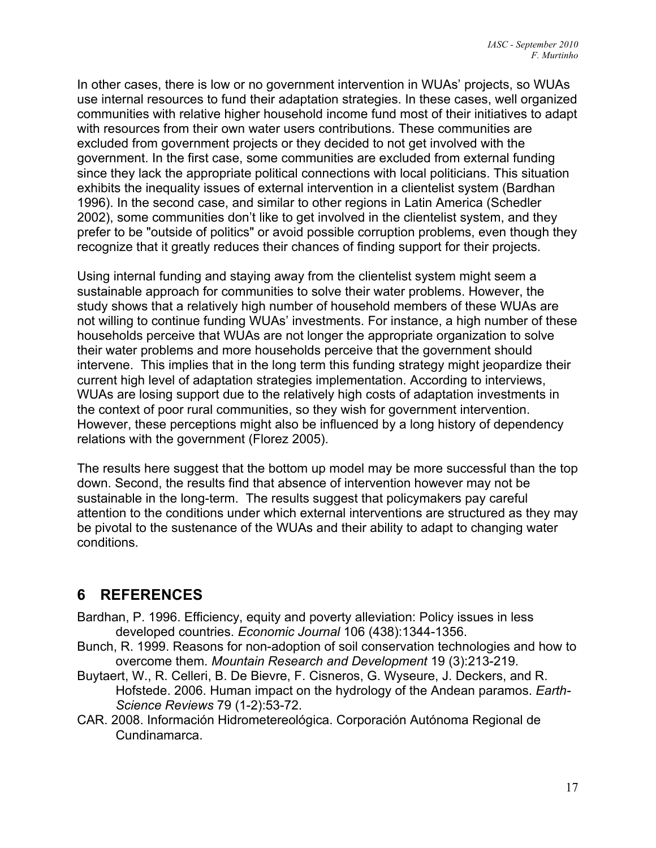In other cases, there is low or no government intervention in WUAs' projects, so WUAs use internal resources to fund their adaptation strategies. In these cases, well organized communities with relative higher household income fund most of their initiatives to adapt with resources from their own water users contributions. These communities are excluded from government projects or they decided to not get involved with the government. In the first case, some communities are excluded from external funding since they lack the appropriate political connections with local politicians. This situation exhibits the inequality issues of external intervention in a clientelist system (Bardhan 1996). In the second case, and similar to other regions in Latin America (Schedler 2002), some communities don't like to get involved in the clientelist system, and they prefer to be "outside of politics" or avoid possible corruption problems, even though they recognize that it greatly reduces their chances of finding support for their projects.

Using internal funding and staying away from the clientelist system might seem a sustainable approach for communities to solve their water problems. However, the study shows that a relatively high number of household members of these WUAs are not willing to continue funding WUAs' investments. For instance, a high number of these households perceive that WUAs are not longer the appropriate organization to solve their water problems and more households perceive that the government should intervene. This implies that in the long term this funding strategy might jeopardize their current high level of adaptation strategies implementation. According to interviews, WUAs are losing support due to the relatively high costs of adaptation investments in the context of poor rural communities, so they wish for government intervention. However, these perceptions might also be influenced by a long history of dependency relations with the government (Florez 2005).

The results here suggest that the bottom up model may be more successful than the top down. Second, the results find that absence of intervention however may not be sustainable in the long-term. The results suggest that policymakers pay careful attention to the conditions under which external interventions are structured as they may be pivotal to the sustenance of the WUAs and their ability to adapt to changing water conditions.

# **6 REFERENCES**

- Bardhan, P. 1996. Efficiency, equity and poverty alleviation: Policy issues in less developed countries. *Economic Journal* 106 (438):1344-1356.
- Bunch, R. 1999. Reasons for non-adoption of soil conservation technologies and how to overcome them. *Mountain Research and Development* 19 (3):213-219.
- Buytaert, W., R. Celleri, B. De Bievre, F. Cisneros, G. Wyseure, J. Deckers, and R. Hofstede. 2006. Human impact on the hydrology of the Andean paramos. *Earth-Science Reviews* 79 (1-2):53-72.
- CAR. 2008. Información Hidrometereológica. Corporación Autónoma Regional de Cundinamarca.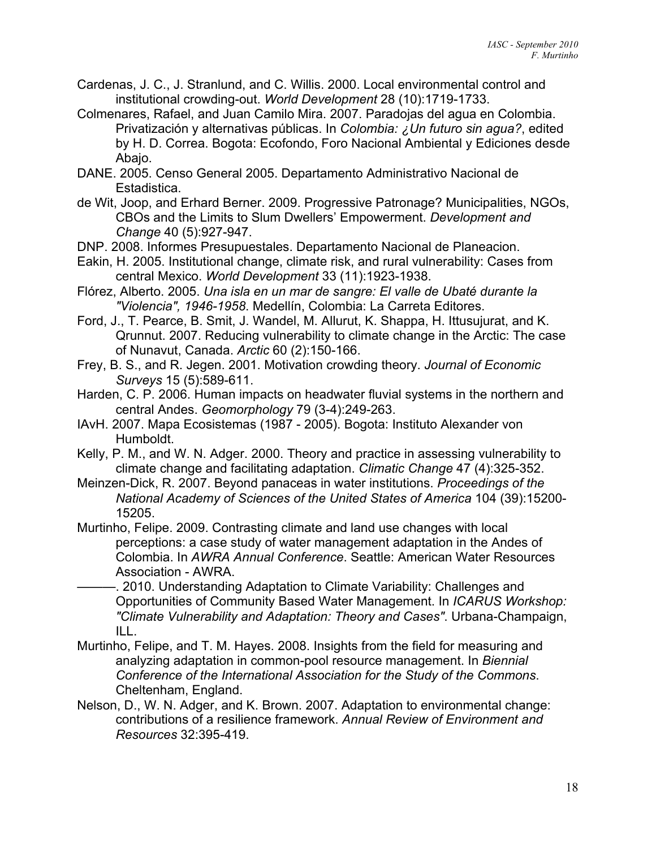- Cardenas, J. C., J. Stranlund, and C. Willis. 2000. Local environmental control and institutional crowding-out. *World Development* 28 (10):1719-1733.
- Colmenares, Rafael, and Juan Camilo Mira. 2007. Paradojas del agua en Colombia. Privatización y alternativas públicas. In *Colombia: ¿Un futuro sin agua?*, edited by H. D. Correa. Bogota: Ecofondo, Foro Nacional Ambiental y Ediciones desde Abajo.
- DANE. 2005. Censo General 2005. Departamento Administrativo Nacional de Estadistica.
- de Wit, Joop, and Erhard Berner. 2009. Progressive Patronage? Municipalities, NGOs, CBOs and the Limits to Slum Dwellers' Empowerment. *Development and Change* 40 (5):927-947.
- DNP. 2008. Informes Presupuestales. Departamento Nacional de Planeacion.
- Eakin, H. 2005. Institutional change, climate risk, and rural vulnerability: Cases from central Mexico. *World Development* 33 (11):1923-1938.
- Flórez, Alberto. 2005. *Una isla en un mar de sangre: El valle de Ubaté durante la "Violencia", 1946-1958*. Medellín, Colombia: La Carreta Editores.
- Ford, J., T. Pearce, B. Smit, J. Wandel, M. Allurut, K. Shappa, H. Ittusujurat, and K. Qrunnut. 2007. Reducing vulnerability to climate change in the Arctic: The case of Nunavut, Canada. *Arctic* 60 (2):150-166.
- Frey, B. S., and R. Jegen. 2001. Motivation crowding theory. *Journal of Economic Surveys* 15 (5):589-611.
- Harden, C. P. 2006. Human impacts on headwater fluvial systems in the northern and central Andes. *Geomorphology* 79 (3-4):249-263.
- IAvH. 2007. Mapa Ecosistemas (1987 2005). Bogota: Instituto Alexander von Humboldt.
- Kelly, P. M., and W. N. Adger. 2000. Theory and practice in assessing vulnerability to climate change and facilitating adaptation. *Climatic Change* 47 (4):325-352.
- Meinzen-Dick, R. 2007. Beyond panaceas in water institutions. *Proceedings of the National Academy of Sciences of the United States of America* 104 (39):15200- 15205.
- Murtinho, Felipe. 2009. Contrasting climate and land use changes with local perceptions: a case study of water management adaptation in the Andes of Colombia. In *AWRA Annual Conference*. Seattle: American Water Resources Association - AWRA.
- -. 2010. Understanding Adaptation to Climate Variability: Challenges and Opportunities of Community Based Water Management. In *ICARUS Workshop: "Climate Vulnerability and Adaptation: Theory and Cases"*. Urbana-Champaign, ILL.
- Murtinho, Felipe, and T. M. Hayes. 2008. Insights from the field for measuring and analyzing adaptation in common-pool resource management. In *Biennial Conference of the International Association for the Study of the Commons*. Cheltenham, England.
- Nelson, D., W. N. Adger, and K. Brown. 2007. Adaptation to environmental change: contributions of a resilience framework. *Annual Review of Environment and Resources* 32:395-419.